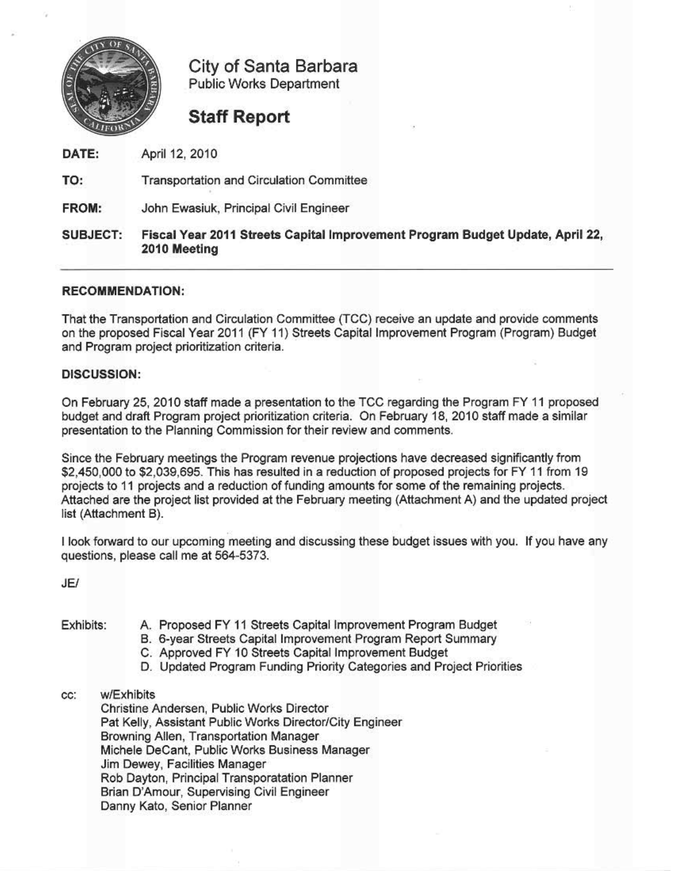

City of Santa Barbara Public Works Department

## Staff Report

April 12, 2010 DATE:

Transportation and Circulation Committee TO

FROM: John Ewasiuk, Principal Civil Engineer

#### SUBJECT: Fiscal Year 2011 Streets Capital Improvement Program Budget Update, April 22, 2010 Meeting

#### RECOMMENDATION:

That the Transportation and Circulation Committee (ICC) receive an update and provide comments on the proposed Fiscal Year 2011 (FY 11) Streets Capital Improvement Program (Program) Budget and Program project prioritization criteria.

#### DISCUSSION:

Cn February 25! 2010 staff made a presentation to the TOG regarding the Program FY11 proposed budget and draft Program project prioritization criteria. On February 18, 2010 staff made a similar presentation to the Planning Commission for their review and comments.

Since the February meetings the Program revenue projections have decreased significantly from \$2,450,000 to \$2,039,695. This has resulted in a reduction of proposed projects for FY 11 from 19 projects to 11 projects and a reduction of funding amounts for some of the remaining projects. Attached are the project list provided at the February meeting (Attachment A) and the updated project list (Attachment B).

<sup>I</sup> look forward to our upcoming meeting and discussing these budget issues with you. If you have any questions, please call me at 564-5373.

JE/

- Exhibits: A. Proposed FY II Streets Capital Improvement Program Budget B. 6-year Streets Capital Improvement Program Report Summary
	- C. Approved FY10 Streets Capital Improvement Budget
	- D. Updated Program Funding Priority Categories and Project Priorities
- cc: wjExhibits

Christine Andersen, Public Works Director Pat Kelly, Assistant Public Works Director/City Engineer Browning Allen, Transportation Manager Michele DeCant, Public Works Business Manager Jim Dewey. Facilities Manager Rob Dayton, Principal Transporatation Planner Brian D'Amour, Supervising Civil Engineer Danny Kato, Senior Planner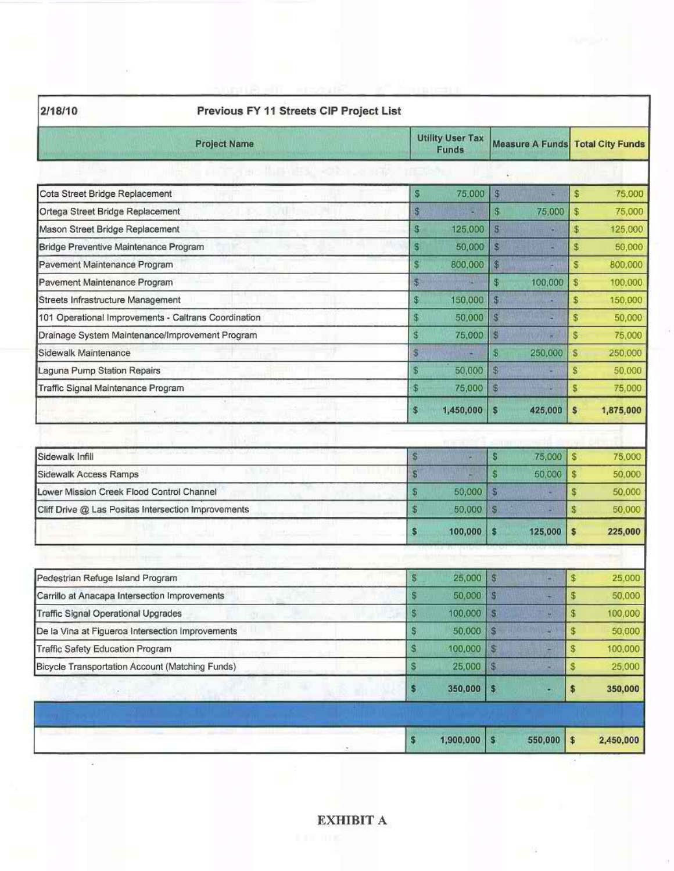| 2/18/10                                       |                                                      |                                         |                |                                         |    |           |
|-----------------------------------------------|------------------------------------------------------|-----------------------------------------|----------------|-----------------------------------------|----|-----------|
|                                               | <b>Project Name</b>                                  | <b>Utility User Tax</b><br><b>Funds</b> |                | <b>Measure A Funds Total City Funds</b> |    |           |
|                                               | <b>IN THE REPORT OF STATE</b>                        |                                         |                |                                         |    |           |
| Cota Street Bridge Replacement                |                                                      | S<br>75,000                             | \$             |                                         | \$ | 75,000    |
| Ortega Street Bridge Replacement              |                                                      | \$                                      | \$             | 75,000                                  | \$ | 75.000    |
| Mason Street Bridge Replacement               |                                                      | $\mathfrak{F}$<br>125,000               | $\sqrt{3}$     |                                         | \$ | 125,000   |
| Bridge Preventive Maintenance Program         |                                                      | S<br>50,000                             | S              |                                         | \$ | 50,000    |
| Pavement Maintenance Program                  |                                                      | s<br>800,000                            | \$             |                                         | s  | 800,000   |
| Pavement Maintenance Program                  |                                                      | S<br>е                                  | \$             | 100,000                                 | \$ | 100,000   |
| Streets Infrastructure Management             |                                                      | \$<br>150,000                           | $\mathfrak{s}$ | а                                       | \$ | 150,000   |
|                                               | 101 Operational Improvements - Caltrans Coordination | $\overline{\mathbf{3}}$<br>50,000       | S.             | E                                       | \$ | 50,000    |
|                                               | Drainage System Maintenance/Improvement Program      | <sub>S</sub><br>75,000                  | S              | в                                       | \$ | 75,000    |
| Sidewalk Maintenance                          |                                                      | Ŝ                                       | S              | 250,000                                 | \$ | 250,000   |
| Laguna Pump Station Repairs                   |                                                      | S<br>50,000                             | $\sqrt{3}$     |                                         | \$ | 50,000    |
| Traffic Signal Maintenance Program            |                                                      | $\sqrt[6]{2}$<br>75,000                 | S.             |                                         | \$ | 75,000    |
|                                               |                                                      | $\mathbf{s}$<br>1,450,000               | S              | 425,000                                 | \$ | 1,875,000 |
|                                               |                                                      |                                         |                |                                         |    |           |
| Sidewalk Infill                               |                                                      | S<br>н                                  | \$             | 75,000                                  | S  | 75,000    |
| Sidewalk Access Ramps                         |                                                      | \$                                      | \$             | 50,000                                  | \$ | 50.000    |
| Lower Mission Creek Flood Control Channel     |                                                      | \$<br>50,000                            | S              | ÷                                       | \$ | 50,000    |
|                                               | Cliff Drive @ Las Positas Intersection Improvements  | \$<br>50,000                            | S              | в                                       | \$ | 50,000    |
|                                               |                                                      | S<br>100,000                            | \$             | 125,000                                 | \$ | 225,000   |
|                                               |                                                      |                                         |                |                                         |    |           |
| Pedestrian Refuge Island Program              |                                                      | \$<br>25,000                            | 5              |                                         | \$ | 25,000    |
| Carrillo at Anacapa Intersection Improvements |                                                      | \$<br>50,000                            | \$             |                                         | \$ | 50,000    |
| Traffic Signal Operational Upgrades           |                                                      | \$<br>100,000                           | S              | t.                                      | \$ | 100,000   |
|                                               | De la Vina at Figueroa Intersection Improvements     | \$<br>50,000                            | S              | 30                                      | \$ | 50,000    |
| Traffic Safety Education Program              |                                                      | \$<br>100,000                           | S              |                                         | \$ | 100,000   |
|                                               | Bicycle Transportation Account (Matching Funds)      | S<br>25,000                             | $\mathbb{S}$   |                                         | s  | 25,000    |
|                                               |                                                      | \$<br>350,000                           | \$             | ٥                                       | \$ | 350,000   |
|                                               |                                                      |                                         |                |                                         |    |           |
|                                               |                                                      | \$<br>1,900,000                         | $\mathbf{s}$   | $550,000$ \$                            |    | 2,450,000 |

Ġ.

Ŧ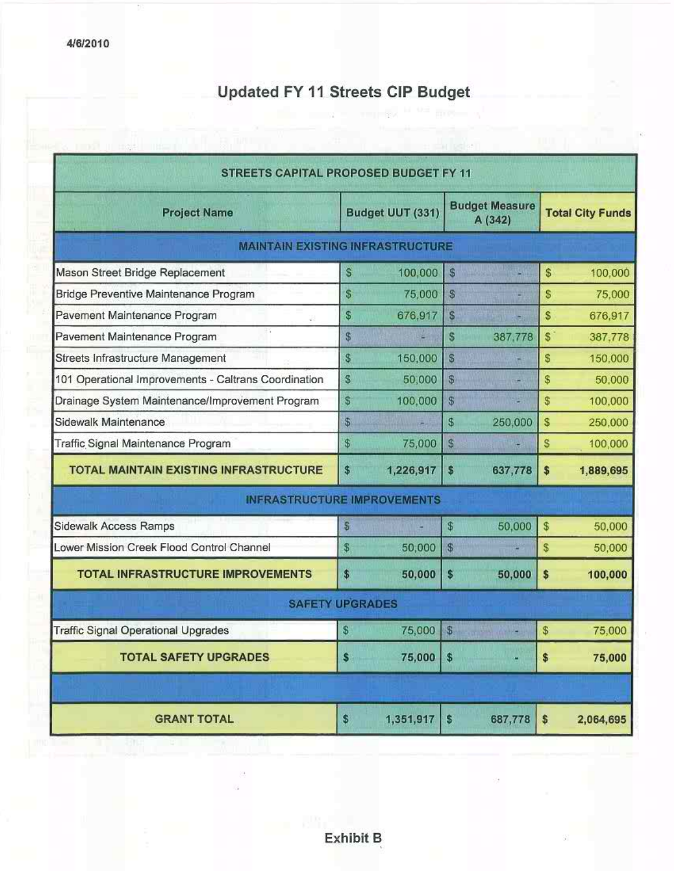# Updated FY11 Streets CIP Budget

| STREETS CAPITAL PROPOSED BUDGET FY 11                |              |                  |              |                                  |             |                         |  |  |
|------------------------------------------------------|--------------|------------------|--------------|----------------------------------|-------------|-------------------------|--|--|
| <b>Project Name</b>                                  |              | Budget UUT (331) |              | <b>Budget Measure</b><br>A (342) |             | <b>Total City Funds</b> |  |  |
| <b>MAINTAIN EXISTING INFRASTRUCTURE</b>              |              |                  |              |                                  |             |                         |  |  |
| Mason Street Bridge Replacement                      | S            | 100,000          | S            |                                  | S           | 100,000                 |  |  |
| Bridge Preventive Maintenance Program                | S.           | 75,000           | $\mathbb{S}$ |                                  | \$          | 75,000                  |  |  |
| Pavement Maintenance Program                         | $\mathbb{S}$ | 676,917          | S            |                                  | \$          | 676,917                 |  |  |
| - 1<br>Pavement Maintenance Program                  | \$           | р                | \$           | 387,778                          | $$^{\circ}$ | 387,778                 |  |  |
| Streets Infrastructure Management                    | \$           | 150,000          | \$           |                                  | S           | 150,000                 |  |  |
| 101 Operational Improvements - Caltrans Coordination | S            | 50,000           | S            |                                  | \$          | 50,000                  |  |  |
| Drainage System Maintenance/Improvement Program      | \$           | 100,000          | \$           |                                  | \$          | 100,000                 |  |  |
| Sidewalk Maintenance                                 | \$           |                  | \$           | 250,000                          | S           | 250,000                 |  |  |
| Traffic Signal Maintenance Program                   | \$           | 75,000           | S            |                                  | S           | 100,000                 |  |  |
| <b>TOTAL MAINTAIN EXISTING INFRASTRUCTURE</b>        | \$           | 1,226,917        | \$           | 637,778                          | \$          | 1,889,695               |  |  |
| <b>INFRASTRUCTURE IMPROVEMENTS</b>                   |              |                  |              |                                  |             |                         |  |  |
| Sidewalk Access Ramps                                | S            |                  | \$           | 50,000                           | \$          | 50,000                  |  |  |
| Lower Mission Creek Flood Control Channel            | $\mathbb{S}$ | 50,000           | S            | 믤                                | S           | 50,000                  |  |  |
| <b>TOTAL INFRASTRUCTURE IMPROVEMENTS</b>             | \$           | 50,000           | \$           | 50,000                           | \$          | 100,000                 |  |  |
| <b>SAFETY UPGRADES</b>                               |              |                  |              |                                  |             |                         |  |  |
| <b>Traffic Signal Operational Upgrades</b>           | \$           | 75,000           | \$           |                                  | \$          | 75,000                  |  |  |
| <b>TOTAL SAFETY UPGRADES</b>                         | S            | 75,000           | \$           |                                  | \$          | 75,000                  |  |  |
|                                                      |              |                  |              |                                  |             |                         |  |  |
| <b>GRANT TOTAL</b>                                   | \$           | 1,351,917        | \$           | 687,778                          | \$          | 2,064,695               |  |  |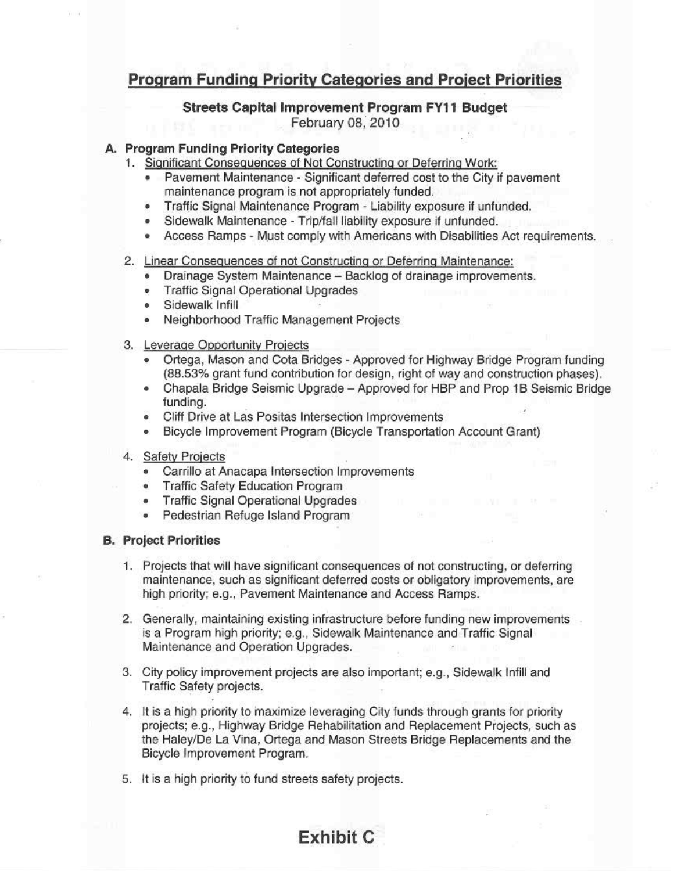### Program Funding Priority Categories and Proiect Priorities

### Streets Capital Improvement Program FY11 Budget February 0B, 2010

#### & Program Funding Priority Categories

- 1. Significant Consequences of Not Constructing or Deferring Work:
	- Pavement Maintenance Significant deferred cost to the City if pavement maintenance program is not appropriately funded.
	- Traffic Signal Maintenance Program Liability exposure if unfunded.
	- Sidewalk Maintenance Trip/fall liability exposure if unfunded.
	- Access Ramps Must comply with Americans with Disabilities Act requirements.

#### 2. Linear Consequences of not Constructing or Deferring Maintenance:

- Drainage System Maintenance Backlog of drainage improvements.
- Traffic Signal Operational Upgrades
- Sidewalk Infill
- Neighborhood Traffic Management Projects
- 3. Leverage Opportunity Projects
	- Ortega, Mason and Cota Bridges Approved for Highway Bridge Program funding (88.53% grant fund contribution for design, right of way and construction phases).
	- Chapala Bridge Seismic Upgrade Approved for HBP and Prop 1B Seismic Bridge funding.
	- Cliff Drive at Las Positas Intersection Improvements
	- Bicycle Improvement Program (Bicycle Transportation Account Grant)
- 4. Safety Projects
	- Carrillo at Anacapa Intersection Improvements
	- Traffic Safety Education Program
	- Traffic Signal Operational Upgrades
	- Pedestrian Retuge Island Program

#### B. Project Priorities

- I. Projects that will have significant consequences of not constructing, or deferring maintenance, such as significant deferred costs or obligatory improvements, are high priority; e.g., Pavement Maintenance and Access Ramps.
- 2. Generally, maintaining existing infrastructure before funding new improvements . is a Program high priority; e.g.. Sidewalk Maintenance and Traffic Signal Maintenance and Operation Upgrades.
- 3. City policy improvement projects are also important: e.g., Sidewalk tnfill and Traffic Safety projects.
- 4. It is a high priority to maximize leveraging City funds through grants for priority projects; e.g., Highway Bridge Rehabilitation and Replacement Projects, such as the Haley/De La Vina. Ortega and Mason Streets Bridge Replacements and the Bicycle Improvement Program.
- 5. It is a high priority to fund streets safety projects.

### Exhibit C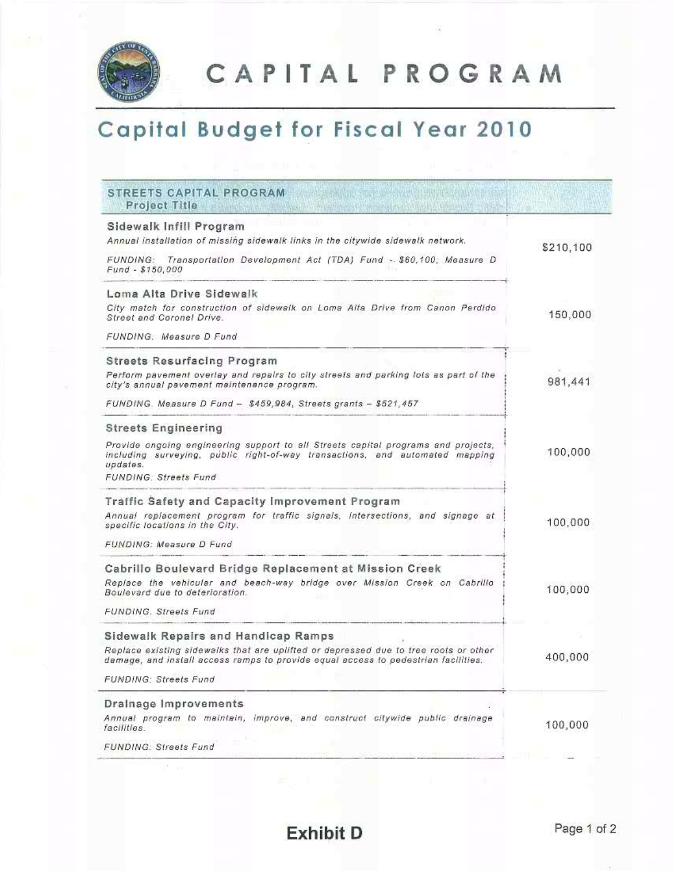

CAPITAL PROGRAM

# Capital Budget for Fiscal Year 2010

#### STREETS CAPITAL PROGRAM **Project Title**

 $\mathbb{S}^n_1 \to 0$ 

| Sidewalk Infill Program<br>Annual installation of missing sidewalk links in the citywide sidewalk network.                                                                    | \$210,100 |
|-------------------------------------------------------------------------------------------------------------------------------------------------------------------------------|-----------|
| FUNDING: Transportation Development Act (TDA) Fund - \$60,100; Measure D<br>Fund - \$150,000                                                                                  |           |
| Loma Alta Drive Sidewalk                                                                                                                                                      |           |
| City match for construction of sidewalk on Loma Alta Drive from Canon Perdido<br>Street and Coronel Drive.                                                                    | 150,000   |
| FUNDING. Measure D Fund                                                                                                                                                       |           |
| <b>Streets Resurfacing Program</b>                                                                                                                                            |           |
| Perform pavement overlay and repairs to city streets and parking lots as part of the<br>city's annual pavement maintenance program.                                           | 981,441   |
| FUNDING. Measure D Fund - \$459,984, Streets grants - \$521,457                                                                                                               |           |
| <b>Streets Engineering</b>                                                                                                                                                    |           |
| Provide ongoing engineering support to all Streets capital programs and projects,<br>including surveying, public right-of-way transactions, and automated mapping<br>updates. | 100,000   |
| <b>FUNDING: Streets Fund</b>                                                                                                                                                  |           |
| Traffic Safety and Capacity Improvement Program                                                                                                                               |           |
| Annual replacement program for traffic signals, intersections, and signage at<br>specific locations in the City.                                                              | 100,000   |
| FUNDING: Measure D Fund                                                                                                                                                       |           |
| Cabrillo Boulevard Bridge Replacement at Mission Creek                                                                                                                        |           |
| Replace the vehicular and beach-way bridge over Mission Creek on Cabrillo<br>Boulevard due to deterioration.                                                                  | 100,000   |
| <b>FUNDING, Streets Fund</b>                                                                                                                                                  |           |
| Sidewalk Repairs and Handicap Ramps                                                                                                                                           |           |
| Replace existing sidewalks that are uplifted or depressed due to tree roots or other<br>damage, and install access ramps to provide equal access to pedestrian facilities.    | 400,000   |
| <b>FUNDING: Streets Fund</b>                                                                                                                                                  |           |
| Drainage Improvements                                                                                                                                                         |           |
| Annual program to maintain, improve, and construct citywide public drainage<br>facilities.                                                                                    | 100,000   |
| FUNDING: Streets Fund                                                                                                                                                         |           |

**Exhibit D**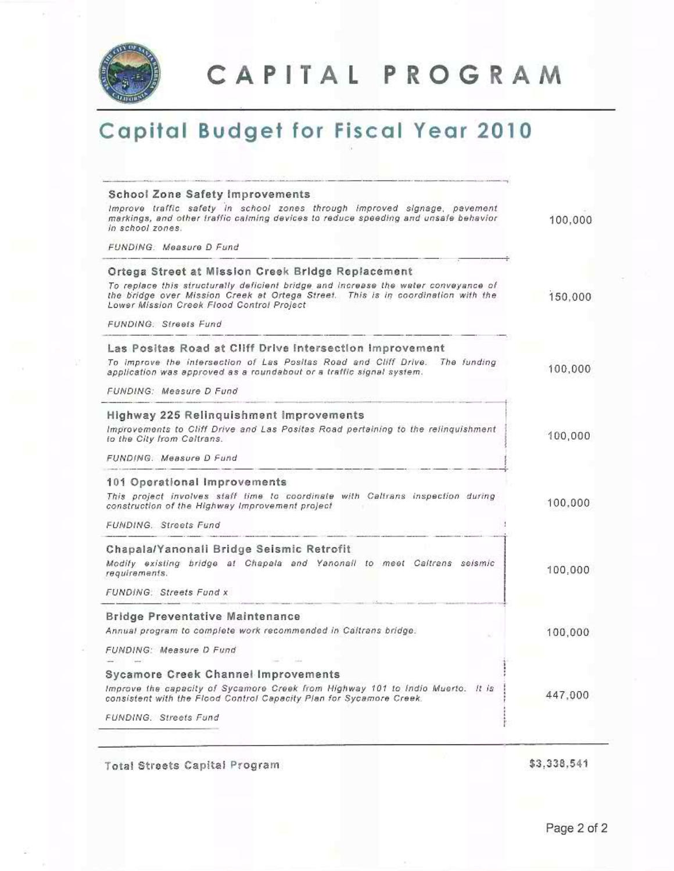

CAPITAL PROGRAM

# **Capital Budget for Fiscal Year 2010**

#### School Zone Safety Improvements Improve traffic safety in school zones through improved signage, pavement markings, and other traffic calming devices to reduce speeding and unsafe behavior 100,000 in school zones. FUNDING: Measure D Fund Ortega Street at Mission Creek Bridge Replacement To replace this structurally deficient bridge and increase the water conveyance of the bridge over Mission Creek at Ortega Street. This is in coordination with the 150,000 Lower Mission Creek Flood Control Project **FUNDING: Streets Fund** Las Positas Road at Cliff Drive Intersection Improvement To improve the intersection of Las Positas Road and Cliff Drive. The funding 100,000 application was approved as a roundabout or a traffic signal system. FUNDING: Measure D Fund Highway 225 Relinquishment Improvements Improvements to Cliff Drive and Las Positas Road pertaining to the relinquishment 100,000 to the City from Caltrans. FUNDING. Measure D Fund 101 Operational Improvements This project involves staff time to coordinate with Caltrans inspection during 100,000 construction of the Highway Improvement project FUNDING. Streets Fund Chapala/Yanonali Bridge Seismic Retrofit Modify existing bridge at Chapala and Yanonall to meet Caltrans seismic 100.000 requirements. FUNDING: Streets Fund x **Bridge Preventative Maintenance** Annual program to complete work recommended in Caltrans bridge. 100,000 FUNDING: Measure D Fund Sycamore Creek Channel Improvements Improve the capacity of Sycamore Creek from Highway 101 to Indio Muerto. It is 447.000 consistent with the Flood Control Capacity Plan for Sycamore Creek. FUNDING. Streets Fund

Total Streets Capital Program

\$3.338,541